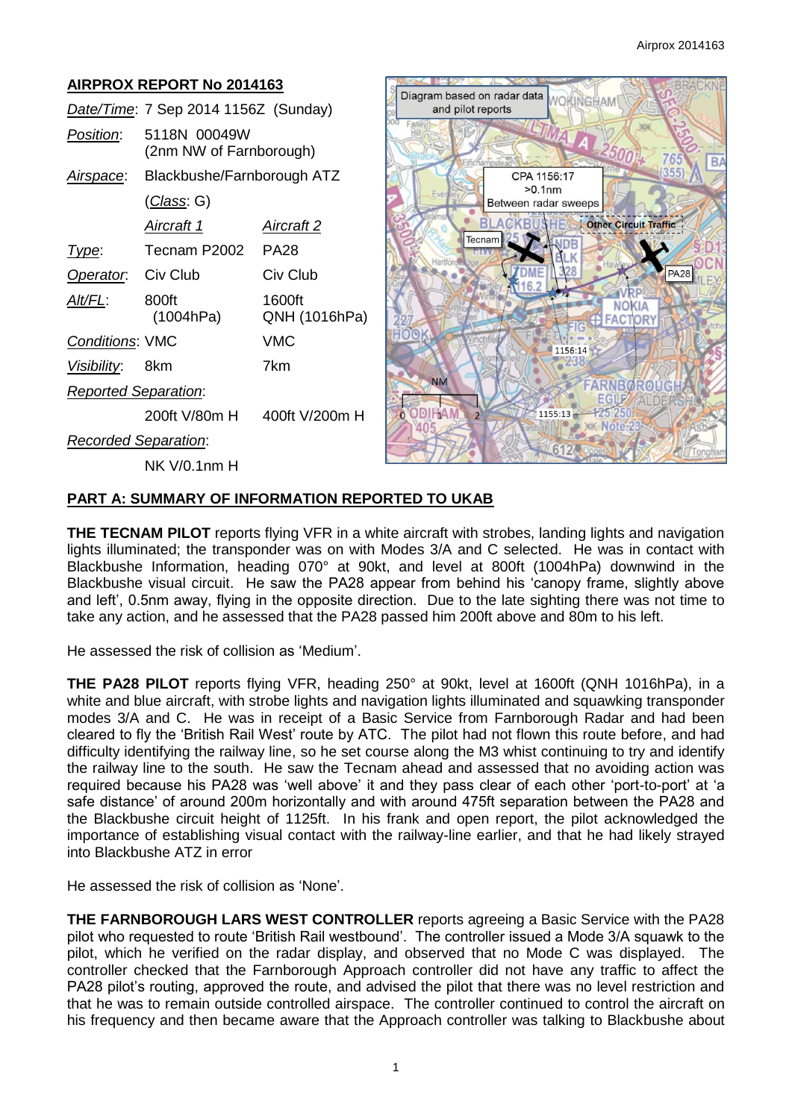#### **AIRPROX REPORT No 2014163 BRACKN** Diagram based on radar data VOKINGHAM *Date/Time*: 7 Sep 2014 1156Z (Sunday) and pilot reports *Position*: 5118N 00049W (2nm NW of Farnborough)  $Rl$ *Airspace*: Blackbushe/Farnborough ATZ CPA 1156:17  $>0.1$ nm (*Class*: G) Between radar sweeps B Other Circuit Traffic *Aircraft 1 Aircraft 2* Tecnam IDB *Type*: Tecnam P2002 PA28 **PA28 Operator:** Civ Club Civ Club **DM** /RF *Alt/FL*: 800ft 1600ft **NOKIA**  (1004hPa) QNH (1016hPa) **FACTORY** *Conditions*: VMC VMC 1156:14 238 *Visibility*: 8km 7km ö **NM** FARNBOROUG *Reported Separation*: EGI ODIRAN 1155:13 200ft V/80m H 400ft V/200m H  $\overline{z}$ **WK Note**  $40$ *Recorded Separation*: 612 NK V/0.1nm H

# **PART A: SUMMARY OF INFORMATION REPORTED TO UKAB**

**THE TECNAM PILOT** reports flying VFR in a white aircraft with strobes, landing lights and navigation lights illuminated; the transponder was on with Modes 3/A and C selected. He was in contact with Blackbushe Information, heading 070° at 90kt, and level at 800ft (1004hPa) downwind in the Blackbushe visual circuit. He saw the PA28 appear from behind his 'canopy frame, slightly above and left', 0.5nm away, flying in the opposite direction. Due to the late sighting there was not time to take any action, and he assessed that the PA28 passed him 200ft above and 80m to his left.

He assessed the risk of collision as 'Medium'.

**THE PA28 PILOT** reports flying VFR, heading 250° at 90kt, level at 1600ft (QNH 1016hPa), in a white and blue aircraft, with strobe lights and navigation lights illuminated and squawking transponder modes 3/A and C. He was in receipt of a Basic Service from Farnborough Radar and had been cleared to fly the 'British Rail West' route by ATC. The pilot had not flown this route before, and had difficulty identifying the railway line, so he set course along the M3 whist continuing to try and identify the railway line to the south. He saw the Tecnam ahead and assessed that no avoiding action was required because his PA28 was 'well above' it and they pass clear of each other 'port-to-port' at 'a safe distance' of around 200m horizontally and with around 475ft separation between the PA28 and the Blackbushe circuit height of 1125ft. In his frank and open report, the pilot acknowledged the importance of establishing visual contact with the railway-line earlier, and that he had likely strayed into Blackbushe ATZ in error

He assessed the risk of collision as 'None'.

**THE FARNBOROUGH LARS WEST CONTROLLER** reports agreeing a Basic Service with the PA28 pilot who requested to route 'British Rail westbound'. The controller issued a Mode 3/A squawk to the pilot, which he verified on the radar display, and observed that no Mode C was displayed. The controller checked that the Farnborough Approach controller did not have any traffic to affect the PA28 pilot's routing, approved the route, and advised the pilot that there was no level restriction and that he was to remain outside controlled airspace. The controller continued to control the aircraft on his frequency and then became aware that the Approach controller was talking to Blackbushe about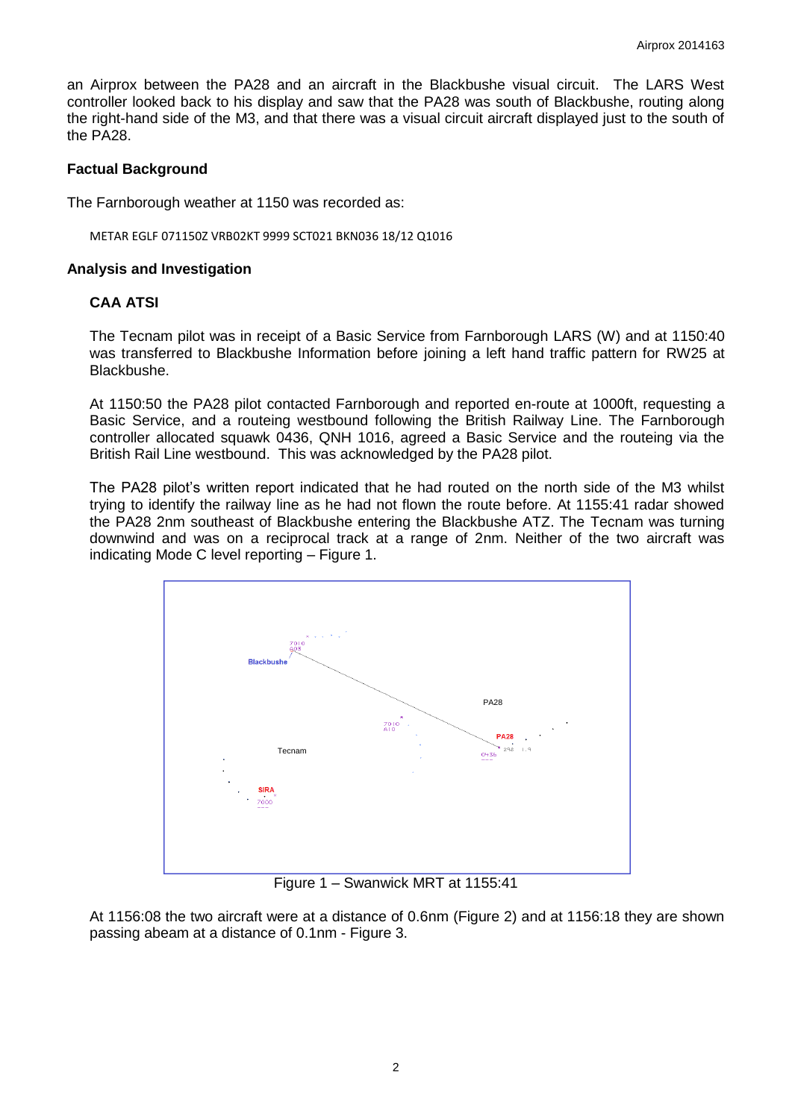an Airprox between the PA28 and an aircraft in the Blackbushe visual circuit. The LARS West controller looked back to his display and saw that the PA28 was south of Blackbushe, routing along the right-hand side of the M3, and that there was a visual circuit aircraft displayed just to the south of the PA28.

### **Factual Background**

The Farnborough weather at 1150 was recorded as:

METAR EGLF 071150Z VRB02KT 9999 SCT021 BKN036 18/12 Q1016

### **Analysis and Investigation**

### **CAA ATSI**

The Tecnam pilot was in receipt of a Basic Service from Farnborough LARS (W) and at 1150:40 was transferred to Blackbushe Information before joining a left hand traffic pattern for RW25 at Blackbushe.

At 1150:50 the PA28 pilot contacted Farnborough and reported en-route at 1000ft, requesting a Basic Service, and a routeing westbound following the British Railway Line. The Farnborough controller allocated squawk 0436, QNH 1016, agreed a Basic Service and the routeing via the British Rail Line westbound. This was acknowledged by the PA28 pilot.

The PA28 pilot's written report indicated that he had routed on the north side of the M3 whilst trying to identify the railway line as he had not flown the route before. At 1155:41 radar showed the PA28 2nm southeast of Blackbushe entering the Blackbushe ATZ. The Tecnam was turning downwind and was on a reciprocal track at a range of 2nm. Neither of the two aircraft was indicating Mode C level reporting – Figure 1.



Figure 1 – Swanwick MRT at 1155:41

At 1156:08 the two aircraft were at a distance of 0.6nm (Figure 2) and at 1156:18 they are shown passing abeam at a distance of 0.1nm - Figure 3.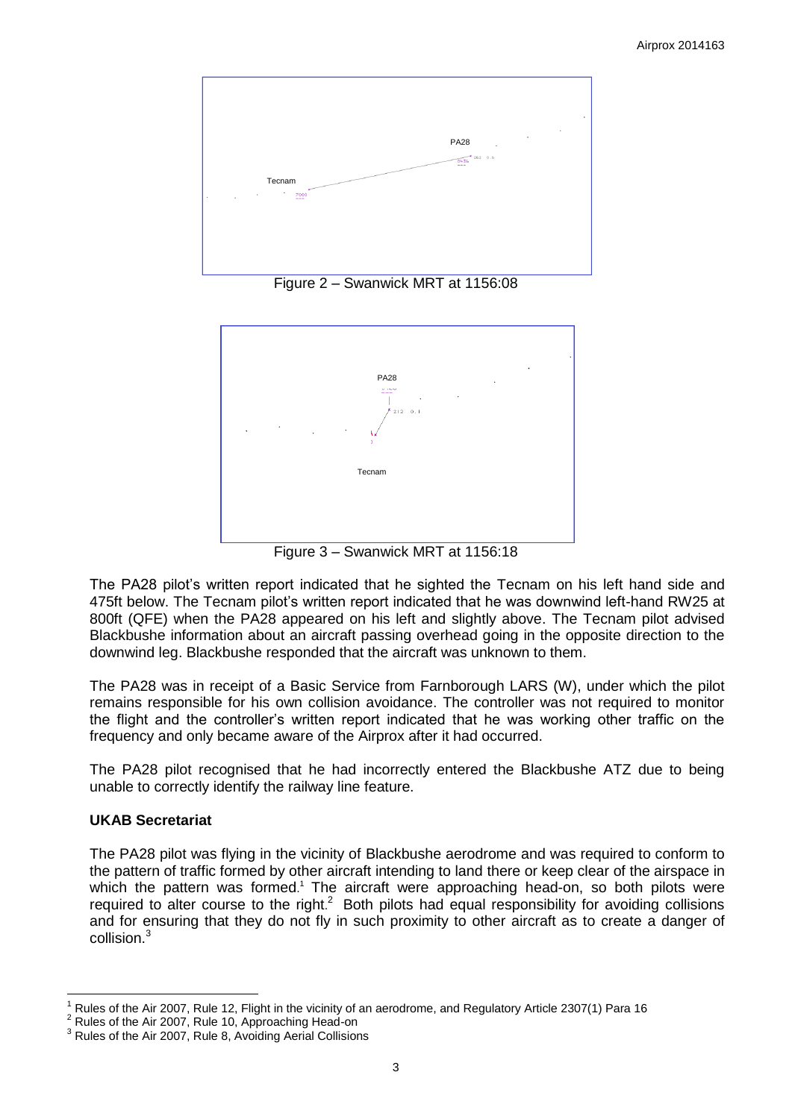

Figure 2 – Swanwick MRT at 1156:08



Figure 3 – Swanwick MRT at 1156:18

The PA28 pilot's written report indicated that he sighted the Tecnam on his left hand side and 475ft below. The Tecnam pilot's written report indicated that he was downwind left-hand RW25 at 800ft (QFE) when the PA28 appeared on his left and slightly above. The Tecnam pilot advised Blackbushe information about an aircraft passing overhead going in the opposite direction to the downwind leg. Blackbushe responded that the aircraft was unknown to them.

The PA28 was in receipt of a Basic Service from Farnborough LARS (W), under which the pilot remains responsible for his own collision avoidance. The controller was not required to monitor the flight and the controller's written report indicated that he was working other traffic on the frequency and only became aware of the Airprox after it had occurred.

The PA28 pilot recognised that he had incorrectly entered the Blackbushe ATZ due to being unable to correctly identify the railway line feature.

# **UKAB Secretariat**

The PA28 pilot was flying in the vicinity of Blackbushe aerodrome and was required to conform to the pattern of traffic formed by other aircraft intending to land there or keep clear of the airspace in which the pattern was formed.<sup>1</sup> The aircraft were approaching head-on, so both pilots were required to alter course to the right.<sup>2</sup> Both pilots had equal responsibility for avoiding collisions and for ensuring that they do not fly in such proximity to other aircraft as to create a danger of collision.<sup>3</sup>

 $\overline{a}$ 1 Rules of the Air 2007, Rule 12, Flight in the vicinity of an aerodrome, and Regulatory Article 2307(1) Para 16

<sup>2</sup> Rules of the Air 2007, Rule 10, Approaching Head-on

 $3$  Rules of the Air 2007, Rule 8, Avoiding Aerial Collisions